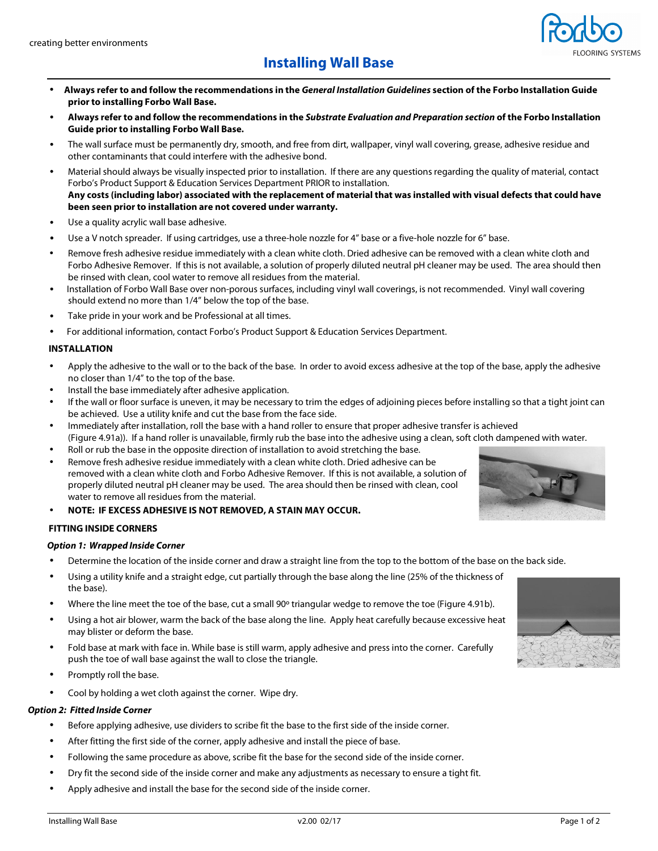

- **Always refer to and follow the recommendations in the General Installation Guidelines section of the Forbo Installation Guide prior to installing Forbo Wall Base.**
- **Always refer to and follow the recommendations in the Substrate Evaluation and Preparation section of the Forbo Installation Guide prior to installing Forbo Wall Base.**
- The wall surface must be permanently dry, smooth, and free from dirt, wallpaper, vinyl wall covering, grease, adhesive residue and other contaminants that could interfere with the adhesive bond.
- Material should always be visually inspected prior to installation. If there are any questions regarding the quality of material, contact Forbo's Product Support & Education Services Department PRIOR to installation. **Any costs (including labor) associated with the replacement of material that was installed with visual defects that could have been seen prior to installation are not covered under warranty.**
- Use a quality acrylic wall base adhesive.
- Use a V notch spreader. If using cartridges, use a three-hole nozzle for 4" base or a five-hole nozzle for 6" base.
- Remove fresh adhesive residue immediately with a clean white cloth. Dried adhesive can be removed with a clean white cloth and Forbo Adhesive Remover. If this is not available, a solution of properly diluted neutral pH cleaner may be used. The area should then be rinsed with clean, cool water to remove all residues from the material.
- Installation of Forbo Wall Base over non-porous surfaces, including vinyl wall coverings, is not recommended. Vinyl wall covering should extend no more than 1/4" below the top of the base.
- Take pride in your work and be Professional at all times.
- For additional information, contact Forbo's Product Support & Education Services Department.

## **INSTALLATION**

- Apply the adhesive to the wall or to the back of the base. In order to avoid excess adhesive at the top of the base, apply the adhesive no closer than 1/4" to the top of the base.
- Install the base immediately after adhesive application.
- If the wall or floor surface is uneven, it may be necessary to trim the edges of adjoining pieces before installing so that a tight joint can be achieved. Use a utility knife and cut the base from the face side.
- Immediately after installation, roll the base with a hand roller to ensure that proper adhesive transfer is achieved (Figure 4.91a)). If a hand roller is unavailable, firmly rub the base into the adhesive using a clean, soft cloth dampened with water.
- Roll or rub the base in the opposite direction of installation to avoid stretching the base.
- Remove fresh adhesive residue immediately with a clean white cloth. Dried adhesive can be removed with a clean white cloth and Forbo Adhesive Remover. If this is not available, a solution of properly diluted neutral pH cleaner may be used. The area should then be rinsed with clean, cool water to remove all residues from the material.
- **NOTE: IF EXCESS ADHESIVE IS NOT REMOVED, A STAIN MAY OCCUR.**

## **FITTING INSIDE CORNERS**

#### **Option 1: Wrapped Inside Corner**

- Determine the location of the inside corner and draw a straight line from the top to the bottom of the base on the back side.
- Using a utility knife and a straight edge, cut partially through the base along the line (25% of the thickness of the base).
- Where the line meet the toe of the base, cut a small 90° triangular wedge to remove the toe (Figure 4.91b).
- Using a hot air blower, warm the back of the base along the line. Apply heat carefully because excessive heat may blister or deform the base.
- Fold base at mark with face in. While base is still warm, apply adhesive and press into the corner. Carefully push the toe of wall base against the wall to close the triangle.
- Promptly roll the base.
- Cool by holding a wet cloth against the corner. Wipe dry.

# **Option 2: Fitted Inside Corner**

- Before applying adhesive, use dividers to scribe fit the base to the first side of the inside corner.
- After fitting the first side of the corner, apply adhesive and install the piece of base.
- Following the same procedure as above, scribe fit the base for the second side of the inside corner.
- Dry fit the second side of the inside corner and make any adjustments as necessary to ensure a tight fit.
- Apply adhesive and install the base for the second side of the inside corner.